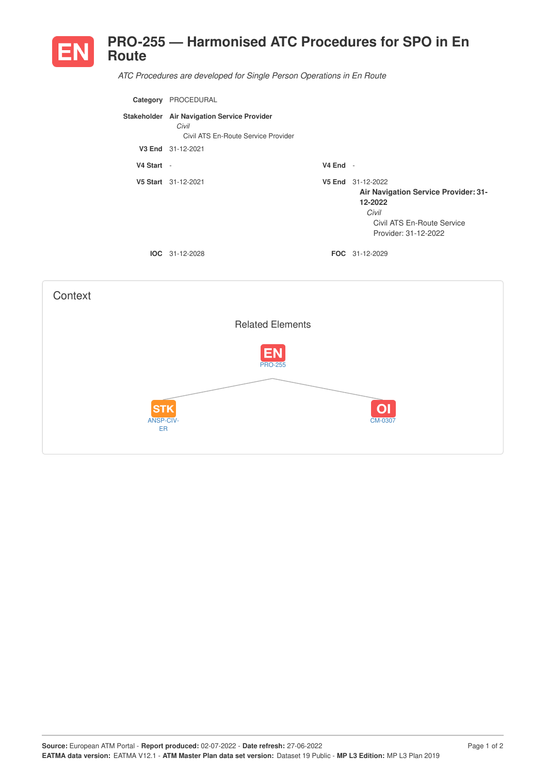

*ATC Procedures are developed for Single Person Operations in En Route*

| Category   | PROCEDURAL                                                                                  |            |                                                                                                                              |
|------------|---------------------------------------------------------------------------------------------|------------|------------------------------------------------------------------------------------------------------------------------------|
|            | Stakeholder Air Navigation Service Provider<br>Civil<br>Civil ATS En-Route Service Provider |            |                                                                                                                              |
|            | V3 End 31-12-2021                                                                           |            |                                                                                                                              |
| V4 Start - |                                                                                             | $V4$ End - |                                                                                                                              |
|            | V5 Start 31-12-2021                                                                         | V5 End     | 31-12-2022<br>Air Navigation Service Provider: 31-<br>12-2022<br>Civil<br>Civil ATS En-Route Service<br>Provider: 31-12-2022 |
|            | $IOC 31-12-2028$                                                                            |            | <b>FOC</b> 31-12-2029                                                                                                        |